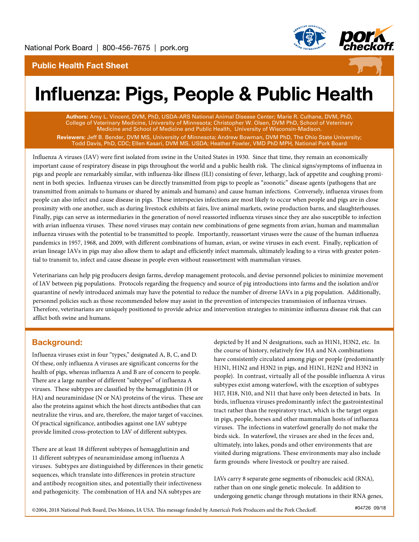

# Public Health Fact Sheet



# Influenza: Pigs, People & Public Health

Authors: Amy L. Vincent, DVM, PhD, USDA-ARS National Animal Disease Center; Marie R. Culhane, DVM, PhD, College of Veterinary Medicine, University of Minnesota; Christopher W. Olsen, DVM PhD, School of Veterinary Medicine and School of Medicine and Public Health, University of Wisconsin-Madison. **Reviewers:** Jeff B. Bender, DVM MS, University of Minnesota; Andrew Bowman, DVM PhD, The Ohio State University; Todd Davis, PhD, CDC; Ellen Kasari, DVM MS, USDA; Heather Fowler, VMD PhD MPH, National Pork Board

Influenza A viruses (IAV) were first isolated from swine in the United States in 1930. Since that time, they remain an economically important cause of respiratory disease in pigs throughout the world and a public health risk. The clinical signs/symptoms of influenza in pigs and people are remarkably similar, with influenza-like illness (ILI) consisting of fever, lethargy, lack of appetite and coughing prominent in both species. Influenza viruses can be directly transmitted from pigs to people as "zoonotic" disease agents (pathogens that are transmitted from animals to humans or shared by animals and humans) and cause human infections. Conversely, influenza viruses from people can also infect and cause disease in pigs. These interspecies infections are most likely to occur when people and pigs are in close proximity with one another, such as during livestock exhibits at fairs, live animal markets, swine production barns, and slaughterhouses. Finally, pigs can serve as intermediaries in the generation of novel reassorted influenza viruses since they are also susceptible to infection with avian influenza viruses. These novel viruses may contain new combinations of gene segments from avian, human and mammalian influenza viruses with the potential to be transmitted to people. Importantly, reassortant viruses were the cause of the human influenza pandemics in 1957, 1968, and 2009, with different combinations of human, avian, or swine viruses in each event. Finally, replication of avian lineage IAVs in pigs may also allow them to adapt and efficiently infect mammals, ultimately leading to a virus with greater potential to transmit to, infect and cause disease in people even without reassortment with mammalian viruses.

Veterinarians can help pig producers design farms, develop management protocols, and devise personnel policies to minimize movement of IAV between pig populations. Protocols regarding the frequency and source of pig introductions into farms and the isolation and/or quarantine of newly introduced animals may have the potential to reduce the number of diverse IAVs in a pig population. Additionally, personnel policies such as those recommended below may assist in the prevention of interspecies transmission of influenza viruses. Therefore, veterinarians are uniquely positioned to provide advice and intervention strategies to minimize influenza disease risk that can afflict both swine and humans.

# Background:

Influenza viruses exist in four "types," designated A, B, C, and D. Of these, only influenza A viruses are significant concerns for the health of pigs, whereas influenza A and B are of concern to people. There are a large number of different "subtypes" of influenza A viruses. These subtypes are classified by the hemagglutinin (H or HA) and neuraminidase (N or NA) proteins of the virus. These are also the proteins against which the host directs antibodies that can neutralize the virus, and are, therefore, the major target of vaccines. Of practical significance, antibodies against one IAV subtype provide limited cross-protection to IAV of different subtypes.

There are at least 18 different subtypes of hemagglutinin and 11 different subtypes of neuraminidase among influenza A viruses. Subtypes are distinguished by differences in their genetic sequences, which translate into differences in protein structure and antibody recognition sites, and potentially their infectiveness and pathogenicity. The combination of HA and NA subtypes are

depicted by H and N designations, such as H1N1, H3N2, etc. In the course of history, relatively few HA and NA combinations have consistently circulated among pigs or people (predominantly H1N1, H1N2 and H3N2 in pigs, and H1N1, H2N2 and H3N2 in people). In contrast, virtually all of the possible influenza A virus subtypes exist among waterfowl, with the exception of subtypes H17, H18, N10, and N11 that have only been detected in bats. In birds, influenza viruses predominantly infect the gastrointestinal tract rather than the respiratory tract, which is the target organ in pigs, people, horses and other mammalian hosts of influenza viruses. The infections in waterfowl generally do not make the birds sick. In waterfowl, the viruses are shed in the feces and, ultimately, into lakes, ponds and other environments that are visited during migrations. These environments may also include farm grounds where livestock or poultry are raised.

IAVs carry 8 separate gene segments of ribonucleic acid (RNA), rather than on one single genetic molecule. In addition to undergoing genetic change through mutations in their RNA genes,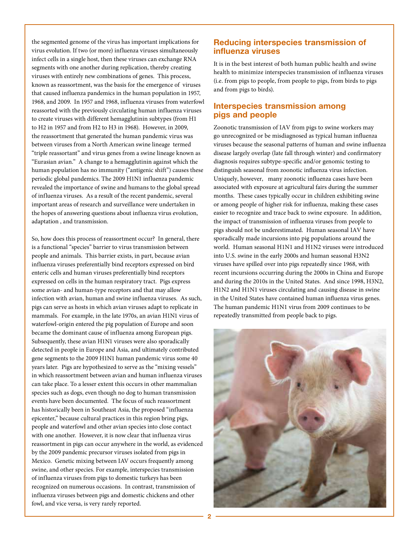the segmented genome of the virus has important implications for virus evolution. If two (or more) influenza viruses simultaneously infect cells in a single host, then these viruses can exchange RNA segments with one another during replication, thereby creating viruses with entirely new combinations of genes. This process, known as reassortment, was the basis for the emergence of viruses that caused influenza pandemics in the human population in 1957, 1968, and 2009. In 1957 and 1968, influenza viruses from waterfowl reassorted with the previously circulating human influenza viruses to create viruses with different hemagglutinin subtypes (from H1 to H2 in 1957 and from H2 to H3 in 1968). However, in 2009, the reassortment that generated the human pandemic virus was between viruses from a North American swine lineage termed "triple reassortant" and virus genes from a swine lineage known as "Eurasian avian." A change to a hemagglutinin against which the human population has no immunity ("antigenic shift") causes these periodic global pandemics. The 2009 H1N1 influenza pandemic revealed the importance of swine and humans to the global spread of influenza viruses. As a result of the recent pandemic, several important areas of research and surveillance were undertaken in the hopes of answering questions about influenza virus evolution, adaptation , and transmission.

So, how does this process of reassortment occur? In general, there is a functional "species" barrier to virus transmission between people and animals. This barrier exists, in part, because avian influenza viruses preferentially bind receptors expressed on bird enteric cells and human viruses preferentially bind receptors expressed on cells in the human respiratory tract. Pigs express some avian- and human-type receptors and that may allow infection with avian, human and swine influenza viruses. As such, pigs can serve as hosts in which avian viruses adapt to replicate in mammals. For example, in the late 1970s, an avian H1N1 virus of waterfowl-origin entered the pig population of Europe and soon became the dominant cause of influenza among European pigs. Subsequently, these avian H1N1 viruses were also sporadically detected in people in Europe and Asia, and ultimately contributed gene segments to the 2009 H1N1 human pandemic virus some 40 years later. Pigs are hypothesized to serve as the "mixing vessels" in which reassortment between avian and human influenza viruses can take place. To a lesser extent this occurs in other mammalian species such as dogs, even though no dog to human transmission events have been documented. The focus of such reassortment has historically been in Southeast Asia, the proposed "influenza epicenter," because cultural practices in this region bring pigs, people and waterfowl and other avian species into close contact with one another. However, it is now clear that influenza virus reassortment in pigs can occur anywhere in the world, as evidenced by the 2009 pandemic precursor viruses isolated from pigs in Mexico. Genetic mixing between IAV occurs frequently among swine, and other species. For example, interspecies transmission of influenza viruses from pigs to domestic turkeys has been recognized on numerous occasions. In contrast, transmission of influenza viruses between pigs and domestic chickens and other fowl, and vice versa, is very rarely reported.

#### Reducing interspecies transmission of influenza viruses

It is in the best interest of both human public health and swine health to minimize interspecies transmission of influenza viruses (i.e. from pigs to people, from people to pigs, from birds to pigs and from pigs to birds).

## Interspecies transmission among pigs and people

Zoonotic transmission of IAV from pigs to swine workers may go unrecognized or be misdiagnosed as typical human influenza viruses because the seasonal patterns of human and swine influenza disease largely overlap (late fall through winter) and confirmatory diagnosis requires subtype-specific and/or genomic testing to distinguish seasonal from zoonotic influenza virus infection. Uniquely, however, many zoonotic influenza cases have been associated with exposure at agricultural fairs during the summer months. These cases typically occur in children exhibiting swine or among people of higher risk for influenza, making these cases easier to recognize and trace back to swine exposure. In addition, the impact of transmission of influenza viruses from people to pigs should not be underestimated. Human seasonal IAV have sporadically made incursions into pig populations around the world. Human seasonal H1N1 and H1N2 viruses were introduced into U.S. swine in the early 2000s and human seasonal H3N2 viruses have spilled over into pigs repeatedly since 1968, with recent incursions occurring during the 2000s in China and Europe and during the 2010s in the United States. And since 1998, H3N2, H1N2 and H1N1 viruses circulating and causing disease in swine in the United States have contained human influenza virus genes. The human pandemic H1N1 virus from 2009 continues to be repeatedly transmitted from people back to pigs.

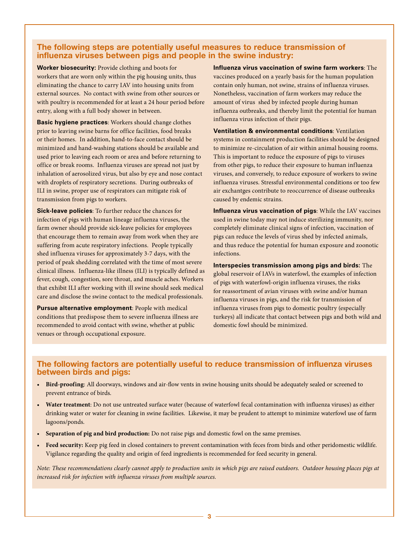### The following steps are potentially useful measures to reduce transmission of influenza viruses between pigs and people in the swine industry:

**Worker biosecurity:** Provide clothing and boots for workers that are worn only within the pig housing units, thus eliminating the chance to carry IAV into housing units from external sources. No contact with swine from other sources or with poultry is recommended for at least a 24 hour period before entry, along with a full body shower in between.

**Basic hygiene practices**: Workers should change clothes prior to leaving swine barns for office facilities, food breaks or their homes. In addition, hand-to-face contact should be minimized and hand-washing stations should be available and used prior to leaving each room or area and before returning to office or break rooms. Influenza viruses are spread not just by inhalation of aerosolized virus, but also by eye and nose contact with droplets of respiratory secretions. During outbreaks of ILI in swine, proper use of respirators can mitigate risk of transmission from pigs to workers.

**Sick-leave policies**: To further reduce the chances for infection of pigs with human lineage influenza viruses, the farm owner should provide sick-leave policies for employees that encourage them to remain away from work when they are suffering from acute respiratory infections. People typically shed influenza viruses for approximately 3-7 days, with the period of peak shedding correlated with the time of most severe clinical illness. Influenza-like illness (ILI) is typically defined as fever, cough, congestion, sore throat, and muscle aches. Workers that exhibit ILI after working with ill swine should seek medical care and disclose the swine contact to the medical professionals.

**Pursue alternative employment**: People with medical conditions that predispose them to severe influenza illness are recommended to avoid contact with swine, whether at public venues or through occupational exposure.

**Influenza virus vaccination of swine farm workers**: The vaccines produced on a yearly basis for the human population contain only human, not swine, strains of influenza viruses. Nonetheless, vaccination of farm workers may reduce the amount of virus shed by infected people during human influenza outbreaks, and thereby limit the potential for human influenza virus infection of their pigs.

**Ventilation & environmental conditions**: Ventilation systems in containment production facilities should be designed to minimize re-circulation of air within animal housing rooms. This is important to reduce the exposure of pigs to viruses from other pigs, to reduce their exposure to human influenza viruses, and conversely, to reduce exposure of workers to swine influenza viruses. Stressful environmental conditions or too few air exchantges contribute to reoccurrence of disease outbreaks caused by endemic strains.

**Influenza virus vaccination of pigs**: While the IAV vaccines used in swine today may not induce sterilizing immunity, nor completely eliminate clinical signs of infection, vaccination of pigs can reduce the levels of virus shed by infected animals, and thus reduce the potential for human exposure and zoonotic infections.

**Interspecies transmission among pigs and birds:** The global reservoir of IAVs in waterfowl, the examples of infection of pigs with waterfowl-origin influenza viruses, the risks for reassortment of avian viruses with swine and/or human influenza viruses in pigs, and the risk for transmission of influenza viruses from pigs to domestic poultry (especially turkeys) all indicate that contact between pigs and both wild and domestic fowl should be minimized.

## The following factors are potentially useful to reduce transmission of influenza viruses between birds and pigs:

- **Bird-proofing**: All doorways, windows and air-flow vents in swine housing units should be adequately sealed or screened to prevent entrance of birds.
- **Water treatment**: Do not use untreated surface water (because of waterfowl fecal contamination with influenza viruses) as either drinking water or water for cleaning in swine facilities. Likewise, it may be prudent to attempt to minimize waterfowl use of farm lagoons/ponds.
- **Separation of pig and bird production:** Do not raise pigs and domestic fowl on the same premises.
- **Feed security:** Keep pig feed in closed containers to prevent contamination with feces from birds and other peridomestic wildlife. Vigilance regarding the quality and origin of feed ingredients is recommended for feed security in general.

*Note: These recommendations clearly cannot apply to production units in which pigs are raised outdoors. Outdoor housing places pigs at increased risk for infection with influenza viruses from multiple sources.*